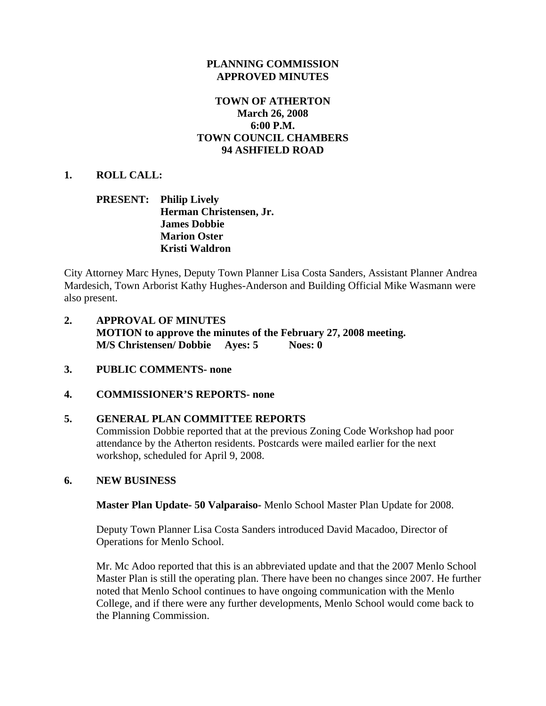## **PLANNING COMMISSION APPROVED MINUTES**

## **TOWN OF ATHERTON March 26, 2008 6:00 P.M. TOWN COUNCIL CHAMBERS 94 ASHFIELD ROAD**

## **1. ROLL CALL:**

## **PRESENT: Philip Lively Herman Christensen, Jr. James Dobbie Marion Oster Kristi Waldron**

City Attorney Marc Hynes, Deputy Town Planner Lisa Costa Sanders, Assistant Planner Andrea Mardesich, Town Arborist Kathy Hughes-Anderson and Building Official Mike Wasmann were also present.

- **2. APPROVAL OF MINUTES MOTION to approve the minutes of the February 27, 2008 meeting. M/S Christensen/ Dobbie Ayes: 5 Noes: 0**
- **3. PUBLIC COMMENTS- none**

## **4. COMMISSIONER'S REPORTS- none**

## **5. GENERAL PLAN COMMITTEE REPORTS**

Commission Dobbie reported that at the previous Zoning Code Workshop had poor attendance by the Atherton residents. Postcards were mailed earlier for the next workshop, scheduled for April 9, 2008.

## **6. NEW BUSINESS**

**Master Plan Update- 50 Valparaiso-** Menlo School Master Plan Update for 2008.

Deputy Town Planner Lisa Costa Sanders introduced David Macadoo, Director of Operations for Menlo School.

Mr. Mc Adoo reported that this is an abbreviated update and that the 2007 Menlo School Master Plan is still the operating plan. There have been no changes since 2007. He further noted that Menlo School continues to have ongoing communication with the Menlo College, and if there were any further developments, Menlo School would come back to the Planning Commission.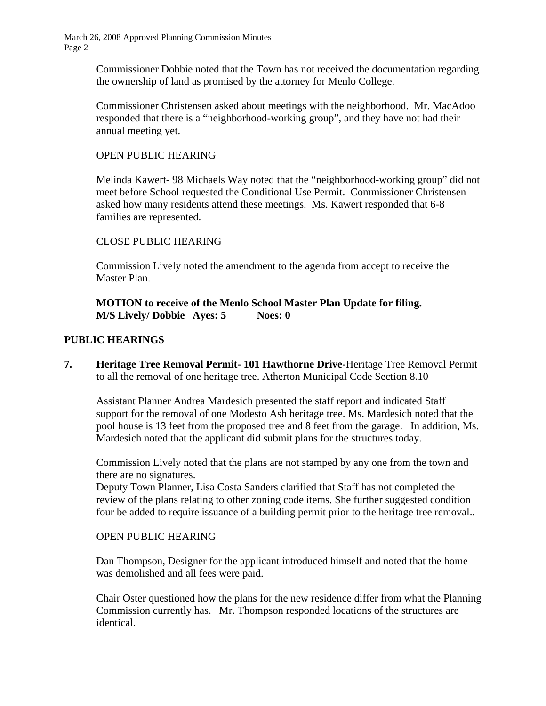> Commissioner Dobbie noted that the Town has not received the documentation regarding the ownership of land as promised by the attorney for Menlo College.

> Commissioner Christensen asked about meetings with the neighborhood. Mr. MacAdoo responded that there is a "neighborhood-working group", and they have not had their annual meeting yet.

## OPEN PUBLIC HEARING

Melinda Kawert- 98 Michaels Way noted that the "neighborhood-working group" did not meet before School requested the Conditional Use Permit. Commissioner Christensen asked how many residents attend these meetings. Ms. Kawert responded that 6-8 families are represented.

## CLOSE PUBLIC HEARING

Commission Lively noted the amendment to the agenda from accept to receive the Master Plan.

**MOTION to receive of the Menlo School Master Plan Update for filing. M/S Lively/ Dobbie Ayes: 5 Noes: 0**

## **PUBLIC HEARINGS**

**7. Heritage Tree Removal Permit- 101 Hawthorne Drive-**Heritage Tree Removal Permit to all the removal of one heritage tree. Atherton Municipal Code Section 8.10

Assistant Planner Andrea Mardesich presented the staff report and indicated Staff support for the removal of one Modesto Ash heritage tree. Ms. Mardesich noted that the pool house is 13 feet from the proposed tree and 8 feet from the garage. In addition, Ms. Mardesich noted that the applicant did submit plans for the structures today.

Commission Lively noted that the plans are not stamped by any one from the town and there are no signatures.

Deputy Town Planner, Lisa Costa Sanders clarified that Staff has not completed the review of the plans relating to other zoning code items. She further suggested condition four be added to require issuance of a building permit prior to the heritage tree removal..

## OPEN PUBLIC HEARING

Dan Thompson, Designer for the applicant introduced himself and noted that the home was demolished and all fees were paid.

Chair Oster questioned how the plans for the new residence differ from what the Planning Commission currently has. Mr. Thompson responded locations of the structures are identical.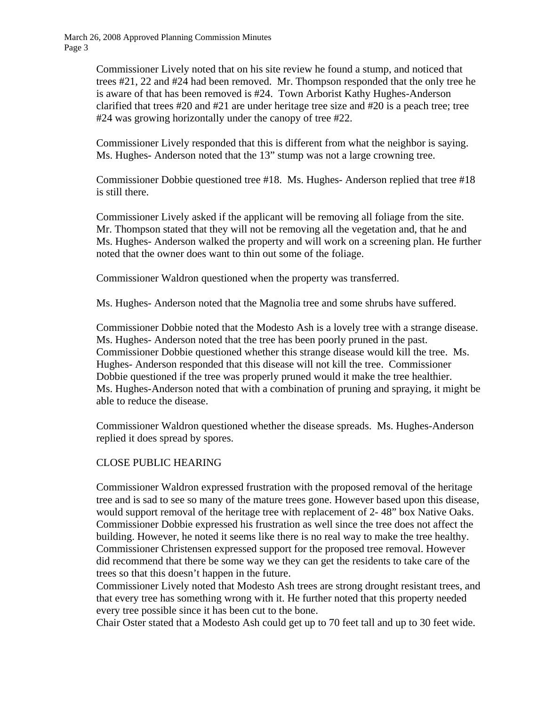> Commissioner Lively noted that on his site review he found a stump, and noticed that trees #21, 22 and #24 had been removed. Mr. Thompson responded that the only tree he is aware of that has been removed is #24. Town Arborist Kathy Hughes-Anderson clarified that trees #20 and #21 are under heritage tree size and #20 is a peach tree; tree #24 was growing horizontally under the canopy of tree #22.

Commissioner Lively responded that this is different from what the neighbor is saying. Ms. Hughes- Anderson noted that the 13" stump was not a large crowning tree.

Commissioner Dobbie questioned tree #18. Ms. Hughes- Anderson replied that tree #18 is still there.

Commissioner Lively asked if the applicant will be removing all foliage from the site. Mr. Thompson stated that they will not be removing all the vegetation and, that he and Ms. Hughes- Anderson walked the property and will work on a screening plan. He further noted that the owner does want to thin out some of the foliage.

Commissioner Waldron questioned when the property was transferred.

Ms. Hughes- Anderson noted that the Magnolia tree and some shrubs have suffered.

Commissioner Dobbie noted that the Modesto Ash is a lovely tree with a strange disease. Ms. Hughes- Anderson noted that the tree has been poorly pruned in the past. Commissioner Dobbie questioned whether this strange disease would kill the tree. Ms. Hughes- Anderson responded that this disease will not kill the tree. Commissioner Dobbie questioned if the tree was properly pruned would it make the tree healthier. Ms. Hughes-Anderson noted that with a combination of pruning and spraying, it might be able to reduce the disease.

Commissioner Waldron questioned whether the disease spreads. Ms. Hughes-Anderson replied it does spread by spores.

# CLOSE PUBLIC HEARING

Commissioner Waldron expressed frustration with the proposed removal of the heritage tree and is sad to see so many of the mature trees gone. However based upon this disease, would support removal of the heritage tree with replacement of 2- 48" box Native Oaks. Commissioner Dobbie expressed his frustration as well since the tree does not affect the building. However, he noted it seems like there is no real way to make the tree healthy. Commissioner Christensen expressed support for the proposed tree removal. However did recommend that there be some way we they can get the residents to take care of the trees so that this doesn't happen in the future.

Commissioner Lively noted that Modesto Ash trees are strong drought resistant trees, and that every tree has something wrong with it. He further noted that this property needed every tree possible since it has been cut to the bone.

Chair Oster stated that a Modesto Ash could get up to 70 feet tall and up to 30 feet wide.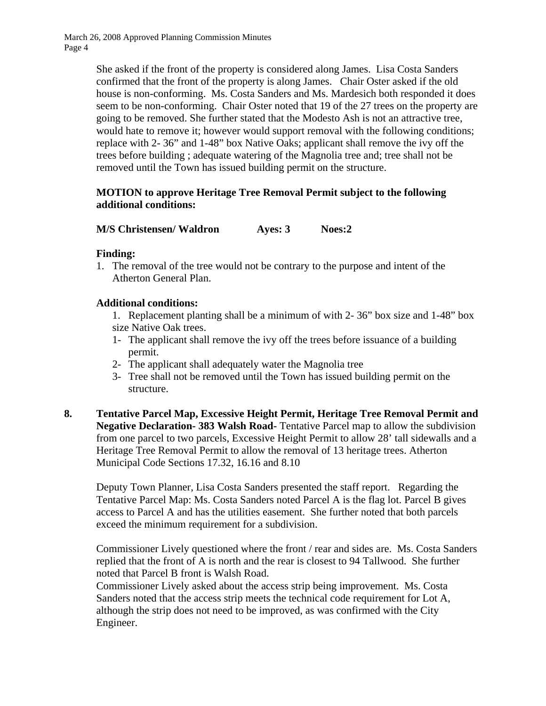> She asked if the front of the property is considered along James. Lisa Costa Sanders confirmed that the front of the property is along James. Chair Oster asked if the old house is non-conforming. Ms. Costa Sanders and Ms. Mardesich both responded it does seem to be non-conforming. Chair Oster noted that 19 of the 27 trees on the property are going to be removed. She further stated that the Modesto Ash is not an attractive tree, would hate to remove it; however would support removal with the following conditions; replace with 2- 36" and 1-48" box Native Oaks; applicant shall remove the ivy off the trees before building ; adequate watering of the Magnolia tree and; tree shall not be removed until the Town has issued building permit on the structure.

## **MOTION to approve Heritage Tree Removal Permit subject to the following additional conditions:**

**M/S Christensen/ Waldron Ayes: 3 Noes:2** 

## **Finding:**

1. The removal of the tree would not be contrary to the purpose and intent of the Atherton General Plan.

## **Additional conditions:**

1. Replacement planting shall be a minimum of with 2- 36" box size and 1-48" box size Native Oak trees.

- 1- The applicant shall remove the ivy off the trees before issuance of a building permit.
- 2- The applicant shall adequately water the Magnolia tree
- 3- Tree shall not be removed until the Town has issued building permit on the structure.
- **8. Tentative Parcel Map, Excessive Height Permit, Heritage Tree Removal Permit and Negative Declaration- 383 Walsh Road-** Tentative Parcel map to allow the subdivision from one parcel to two parcels, Excessive Height Permit to allow 28' tall sidewalls and a Heritage Tree Removal Permit to allow the removal of 13 heritage trees. Atherton Municipal Code Sections 17.32, 16.16 and 8.10

Deputy Town Planner, Lisa Costa Sanders presented the staff report. Regarding the Tentative Parcel Map: Ms. Costa Sanders noted Parcel A is the flag lot. Parcel B gives access to Parcel A and has the utilities easement. She further noted that both parcels exceed the minimum requirement for a subdivision.

Commissioner Lively questioned where the front / rear and sides are. Ms. Costa Sanders replied that the front of A is north and the rear is closest to 94 Tallwood. She further noted that Parcel B front is Walsh Road.

Commissioner Lively asked about the access strip being improvement. Ms. Costa Sanders noted that the access strip meets the technical code requirement for Lot A, although the strip does not need to be improved, as was confirmed with the City Engineer.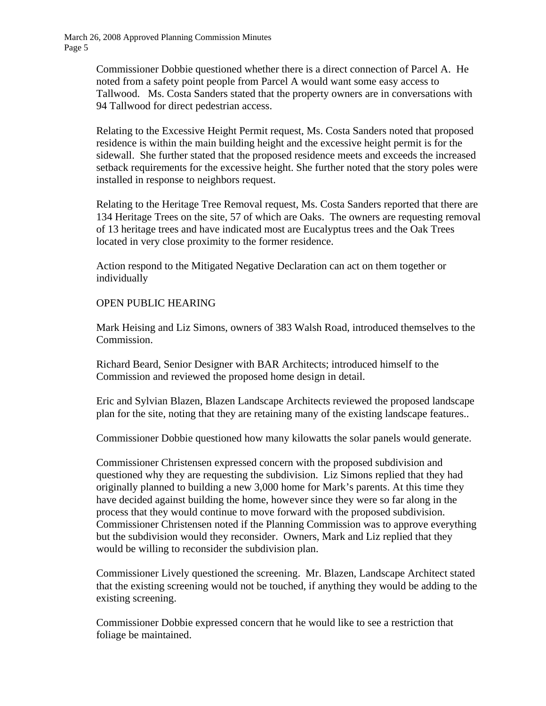> Commissioner Dobbie questioned whether there is a direct connection of Parcel A. He noted from a safety point people from Parcel A would want some easy access to Tallwood. Ms. Costa Sanders stated that the property owners are in conversations with 94 Tallwood for direct pedestrian access.

Relating to the Excessive Height Permit request, Ms. Costa Sanders noted that proposed residence is within the main building height and the excessive height permit is for the sidewall. She further stated that the proposed residence meets and exceeds the increased setback requirements for the excessive height. She further noted that the story poles were installed in response to neighbors request.

Relating to the Heritage Tree Removal request, Ms. Costa Sanders reported that there are 134 Heritage Trees on the site, 57 of which are Oaks. The owners are requesting removal of 13 heritage trees and have indicated most are Eucalyptus trees and the Oak Trees located in very close proximity to the former residence.

Action respond to the Mitigated Negative Declaration can act on them together or individually

## OPEN PUBLIC HEARING

Mark Heising and Liz Simons, owners of 383 Walsh Road, introduced themselves to the Commission.

Richard Beard, Senior Designer with BAR Architects; introduced himself to the Commission and reviewed the proposed home design in detail.

Eric and Sylvian Blazen, Blazen Landscape Architects reviewed the proposed landscape plan for the site, noting that they are retaining many of the existing landscape features..

Commissioner Dobbie questioned how many kilowatts the solar panels would generate.

Commissioner Christensen expressed concern with the proposed subdivision and questioned why they are requesting the subdivision. Liz Simons replied that they had originally planned to building a new 3,000 home for Mark's parents. At this time they have decided against building the home, however since they were so far along in the process that they would continue to move forward with the proposed subdivision. Commissioner Christensen noted if the Planning Commission was to approve everything but the subdivision would they reconsider. Owners, Mark and Liz replied that they would be willing to reconsider the subdivision plan.

Commissioner Lively questioned the screening. Mr. Blazen, Landscape Architect stated that the existing screening would not be touched, if anything they would be adding to the existing screening.

Commissioner Dobbie expressed concern that he would like to see a restriction that foliage be maintained.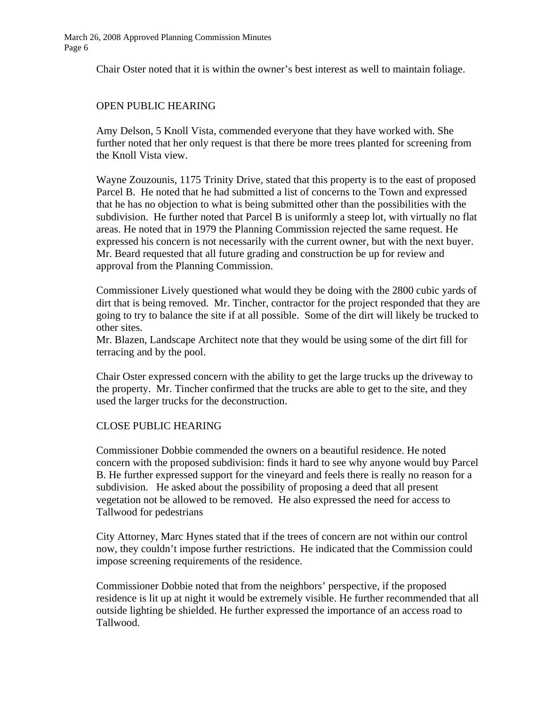Chair Oster noted that it is within the owner's best interest as well to maintain foliage.

## OPEN PUBLIC HEARING

Amy Delson, 5 Knoll Vista, commended everyone that they have worked with. She further noted that her only request is that there be more trees planted for screening from the Knoll Vista view.

Wayne Zouzounis, 1175 Trinity Drive, stated that this property is to the east of proposed Parcel B. He noted that he had submitted a list of concerns to the Town and expressed that he has no objection to what is being submitted other than the possibilities with the subdivision. He further noted that Parcel B is uniformly a steep lot, with virtually no flat areas. He noted that in 1979 the Planning Commission rejected the same request. He expressed his concern is not necessarily with the current owner, but with the next buyer. Mr. Beard requested that all future grading and construction be up for review and approval from the Planning Commission.

Commissioner Lively questioned what would they be doing with the 2800 cubic yards of dirt that is being removed. Mr. Tincher, contractor for the project responded that they are going to try to balance the site if at all possible. Some of the dirt will likely be trucked to other sites.

Mr. Blazen, Landscape Architect note that they would be using some of the dirt fill for terracing and by the pool.

Chair Oster expressed concern with the ability to get the large trucks up the driveway to the property. Mr. Tincher confirmed that the trucks are able to get to the site, and they used the larger trucks for the deconstruction.

## CLOSE PUBLIC HEARING

Commissioner Dobbie commended the owners on a beautiful residence. He noted concern with the proposed subdivision: finds it hard to see why anyone would buy Parcel B. He further expressed support for the vineyard and feels there is really no reason for a subdivision. He asked about the possibility of proposing a deed that all present vegetation not be allowed to be removed. He also expressed the need for access to Tallwood for pedestrians

City Attorney, Marc Hynes stated that if the trees of concern are not within our control now, they couldn't impose further restrictions. He indicated that the Commission could impose screening requirements of the residence.

Commissioner Dobbie noted that from the neighbors' perspective, if the proposed residence is lit up at night it would be extremely visible. He further recommended that all outside lighting be shielded. He further expressed the importance of an access road to Tallwood.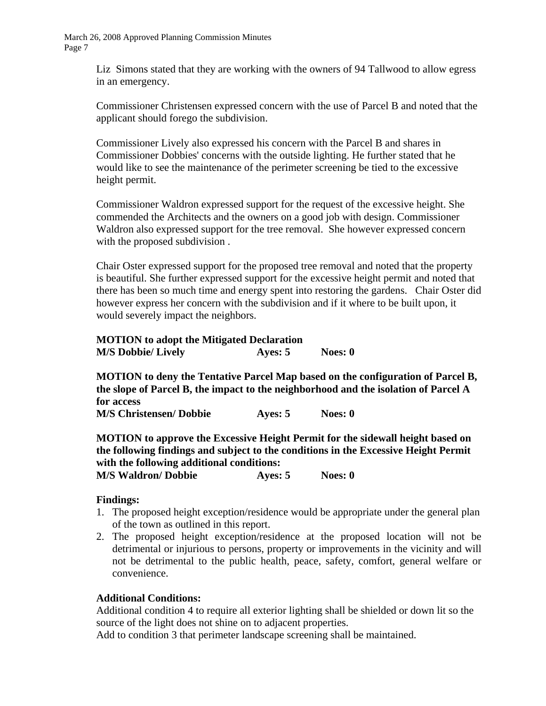> Liz Simons stated that they are working with the owners of 94 Tallwood to allow egress in an emergency.

> Commissioner Christensen expressed concern with the use of Parcel B and noted that the applicant should forego the subdivision.

Commissioner Lively also expressed his concern with the Parcel B and shares in Commissioner Dobbies' concerns with the outside lighting. He further stated that he would like to see the maintenance of the perimeter screening be tied to the excessive height permit.

Commissioner Waldron expressed support for the request of the excessive height. She commended the Architects and the owners on a good job with design. Commissioner Waldron also expressed support for the tree removal. She however expressed concern with the proposed subdivision .

Chair Oster expressed support for the proposed tree removal and noted that the property is beautiful. She further expressed support for the excessive height permit and noted that there has been so much time and energy spent into restoring the gardens. Chair Oster did however express her concern with the subdivision and if it where to be built upon, it would severely impact the neighbors.

| <b>MOTION</b> to adopt the Mitigated Declaration |           |           |
|--------------------------------------------------|-----------|-----------|
| <b>M/S Dobbie/ Lively</b>                        | Ayes: $5$ | Noes: $0$ |

**MOTION to deny the Tentative Parcel Map based on the configuration of Parcel B, the slope of Parcel B, the impact to the neighborhood and the isolation of Parcel A for access M/S Christensen/ Dobbie Ayes: 5 Noes: 0** 

**MOTION to approve the Excessive Height Permit for the sidewall height based on the following findings and subject to the conditions in the Excessive Height Permit with the following additional conditions:** 

**M/S Waldron/ Dobbie Ayes: 5 Noes: 0** 

#### **Findings:**

- 1. The proposed height exception/residence would be appropriate under the general plan of the town as outlined in this report.
- 2. The proposed height exception/residence at the proposed location will not be detrimental or injurious to persons, property or improvements in the vicinity and will not be detrimental to the public health, peace, safety, comfort, general welfare or convenience.

## **Additional Conditions:**

Additional condition 4 to require all exterior lighting shall be shielded or down lit so the source of the light does not shine on to adjacent properties.

Add to condition 3 that perimeter landscape screening shall be maintained.